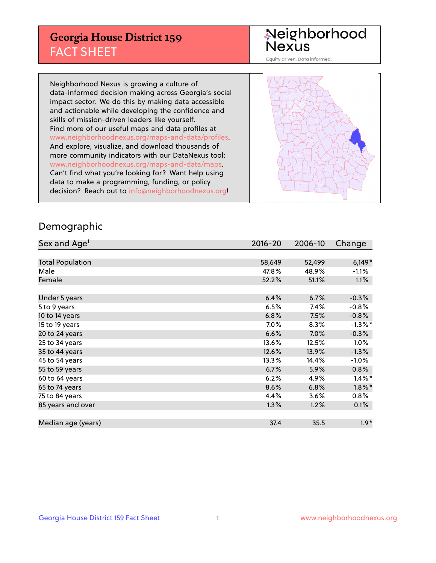## **Georgia House District 159** FACT SHEET

# Neighborhood<br>Nexus

Equity driven. Data informed.

Neighborhood Nexus is growing a culture of data-informed decision making across Georgia's social impact sector. We do this by making data accessible and actionable while developing the confidence and skills of mission-driven leaders like yourself. Find more of our useful maps and data profiles at www.neighborhoodnexus.org/maps-and-data/profiles. And explore, visualize, and download thousands of more community indicators with our DataNexus tool: www.neighborhoodnexus.org/maps-and-data/maps. Can't find what you're looking for? Want help using data to make a programming, funding, or policy decision? Reach out to [info@neighborhoodnexus.org!](mailto:info@neighborhoodnexus.org)



### Demographic

| Sex and Age <sup>1</sup> | $2016 - 20$ | 2006-10 | Change     |
|--------------------------|-------------|---------|------------|
|                          |             |         |            |
| <b>Total Population</b>  | 58,649      | 52,499  | $6,149*$   |
| Male                     | 47.8%       | 48.9%   | $-1.1\%$   |
| Female                   | 52.2%       | 51.1%   | $1.1\%$    |
|                          |             |         |            |
| Under 5 years            | 6.4%        | 6.7%    | $-0.3%$    |
| 5 to 9 years             | 6.5%        | 7.4%    | $-0.8%$    |
| 10 to 14 years           | 6.8%        | 7.5%    | $-0.8%$    |
| 15 to 19 years           | 7.0%        | 8.3%    | $-1.3\%$ * |
| 20 to 24 years           | 6.6%        | 7.0%    | $-0.3%$    |
| 25 to 34 years           | 13.6%       | 12.5%   | 1.0%       |
| 35 to 44 years           | 12.6%       | 13.9%   | $-1.3%$    |
| 45 to 54 years           | 13.3%       | 14.4%   | $-1.0%$    |
| 55 to 59 years           | 6.7%        | 5.9%    | 0.8%       |
| 60 to 64 years           | 6.2%        | 4.9%    | $1.4\%$ *  |
| 65 to 74 years           | 8.6%        | 6.8%    | $1.8\%$ *  |
| 75 to 84 years           | 4.4%        | 3.6%    | 0.8%       |
| 85 years and over        | 1.3%        | 1.2%    | 0.1%       |
|                          |             |         |            |
| Median age (years)       | 37.4        | 35.5    | $1.9*$     |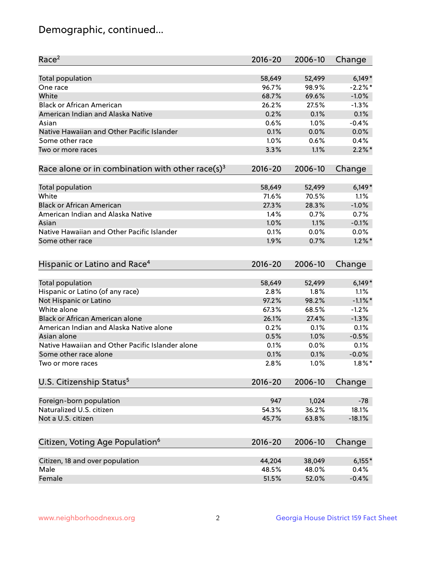## Demographic, continued...

| Race <sup>2</sup>                                            | $2016 - 20$ | 2006-10 | Change     |
|--------------------------------------------------------------|-------------|---------|------------|
| Total population                                             | 58,649      | 52,499  | $6,149*$   |
| One race                                                     | 96.7%       | 98.9%   | $-2.2%$ *  |
| White                                                        | 68.7%       | 69.6%   | $-1.0%$    |
| <b>Black or African American</b>                             | 26.2%       | 27.5%   | $-1.3%$    |
| American Indian and Alaska Native                            | 0.2%        | 0.1%    | 0.1%       |
| Asian                                                        | 0.6%        | 1.0%    | $-0.4%$    |
| Native Hawaiian and Other Pacific Islander                   | 0.1%        | 0.0%    | 0.0%       |
| Some other race                                              | 1.0%        | 0.6%    | 0.4%       |
| Two or more races                                            | 3.3%        | 1.1%    | $2.2\%$ *  |
| Race alone or in combination with other race(s) <sup>3</sup> | $2016 - 20$ | 2006-10 | Change     |
| Total population                                             | 58,649      | 52,499  | $6,149*$   |
| White                                                        | 71.6%       | 70.5%   | 1.1%       |
| <b>Black or African American</b>                             | 27.3%       | 28.3%   | $-1.0%$    |
| American Indian and Alaska Native                            | 1.4%        | 0.7%    | 0.7%       |
| Asian                                                        | 1.0%        | 1.1%    | $-0.1%$    |
| Native Hawaiian and Other Pacific Islander                   | 0.1%        | 0.0%    | 0.0%       |
| Some other race                                              | 1.9%        | 0.7%    | $1.2\%$ *  |
| Hispanic or Latino and Race <sup>4</sup>                     | $2016 - 20$ | 2006-10 | Change     |
| <b>Total population</b>                                      | 58,649      | 52,499  | $6,149*$   |
| Hispanic or Latino (of any race)                             | 2.8%        | 1.8%    | 1.1%       |
| Not Hispanic or Latino                                       | 97.2%       | 98.2%   | $-1.1\%$ * |
| White alone                                                  | 67.3%       | 68.5%   | $-1.2%$    |
| <b>Black or African American alone</b>                       | 26.1%       | 27.4%   | $-1.3%$    |
| American Indian and Alaska Native alone                      | 0.2%        | 0.1%    | 0.1%       |
| Asian alone                                                  | 0.5%        | 1.0%    | $-0.5%$    |
| Native Hawaiian and Other Pacific Islander alone             | 0.1%        | 0.0%    | 0.1%       |
| Some other race alone                                        | 0.1%        | 0.1%    | $-0.0%$    |
| Two or more races                                            | 2.8%        | 1.0%    | $1.8\%$ *  |
| U.S. Citizenship Status <sup>5</sup>                         | $2016 - 20$ | 2006-10 | Change     |
| Foreign-born population                                      | 947         | 1,024   | $-78$      |
| Naturalized U.S. citizen                                     | 54.3%       | 36.2%   | 18.1%      |
| Not a U.S. citizen                                           | 45.7%       | 63.8%   | $-18.1%$   |
|                                                              |             |         |            |
| Citizen, Voting Age Population <sup>6</sup>                  | $2016 - 20$ | 2006-10 | Change     |
| Citizen, 18 and over population                              | 44,204      | 38,049  | $6,155*$   |
| Male                                                         | 48.5%       | 48.0%   | 0.4%       |
| Female                                                       | 51.5%       | 52.0%   | $-0.4%$    |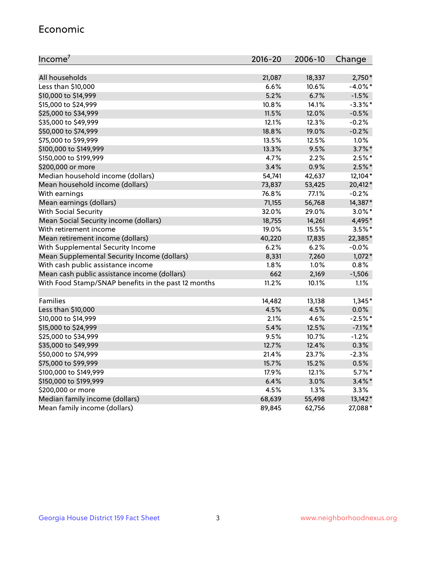#### Economic

| Income <sup>7</sup>                                 | $2016 - 20$ | 2006-10 | Change     |
|-----------------------------------------------------|-------------|---------|------------|
|                                                     |             |         |            |
| All households                                      | 21,087      | 18,337  | $2,750*$   |
| Less than \$10,000                                  | 6.6%        | 10.6%   | $-4.0\%$ * |
| \$10,000 to \$14,999                                | 5.2%        | 6.7%    | $-1.5%$    |
| \$15,000 to \$24,999                                | 10.8%       | 14.1%   | $-3.3\%$ * |
| \$25,000 to \$34,999                                | 11.5%       | 12.0%   | $-0.5%$    |
| \$35,000 to \$49,999                                | 12.1%       | 12.3%   | $-0.2%$    |
| \$50,000 to \$74,999                                | 18.8%       | 19.0%   | $-0.2%$    |
| \$75,000 to \$99,999                                | 13.5%       | 12.5%   | $1.0\%$    |
| \$100,000 to \$149,999                              | 13.3%       | 9.5%    | $3.7\%$ *  |
| \$150,000 to \$199,999                              | 4.7%        | 2.2%    | $2.5%$ *   |
| \$200,000 or more                                   | 3.4%        | 0.9%    | $2.5%$ *   |
| Median household income (dollars)                   | 54,741      | 42,637  | 12,104*    |
| Mean household income (dollars)                     | 73,837      | 53,425  | 20,412*    |
| With earnings                                       | 76.8%       | 77.1%   | $-0.2%$    |
| Mean earnings (dollars)                             | 71,155      | 56,768  | 14,387*    |
| <b>With Social Security</b>                         | 32.0%       | 29.0%   | $3.0\%$ *  |
| Mean Social Security income (dollars)               | 18,755      | 14,261  | 4,495*     |
| With retirement income                              | 19.0%       | 15.5%   | $3.5\%$ *  |
| Mean retirement income (dollars)                    | 40,220      | 17,835  | 22,385*    |
| With Supplemental Security Income                   | 6.2%        | 6.2%    | $-0.0%$    |
| Mean Supplemental Security Income (dollars)         | 8,331       | 7,260   | $1,072*$   |
| With cash public assistance income                  | 1.8%        | 1.0%    | 0.8%       |
| Mean cash public assistance income (dollars)        | 662         | 2,169   | $-1,506$   |
| With Food Stamp/SNAP benefits in the past 12 months | 11.2%       | 10.1%   | 1.1%       |
|                                                     |             |         |            |
| Families                                            | 14,482      | 13,138  | $1,345*$   |
| Less than \$10,000                                  | 4.5%        | 4.5%    | $0.0\%$    |
| \$10,000 to \$14,999                                | 2.1%        | 4.6%    | $-2.5%$ *  |
| \$15,000 to \$24,999                                | 5.4%        | 12.5%   | $-7.1\%$ * |
| \$25,000 to \$34,999                                | 9.5%        | 10.7%   | $-1.2%$    |
| \$35,000 to \$49,999                                | 12.7%       | 12.4%   | 0.3%       |
| \$50,000 to \$74,999                                | 21.4%       | 23.7%   | $-2.3%$    |
| \$75,000 to \$99,999                                | 15.7%       | 15.2%   | 0.5%       |
| \$100,000 to \$149,999                              | 17.9%       | 12.1%   | $5.7\%$ *  |
| \$150,000 to \$199,999                              | 6.4%        | 3.0%    | $3.4\%$ *  |
| \$200,000 or more                                   | 4.5%        | 1.3%    | 3.3%       |
| Median family income (dollars)                      | 68,639      | 55,498  | $13,142*$  |
| Mean family income (dollars)                        | 89,845      | 62,756  | 27,088*    |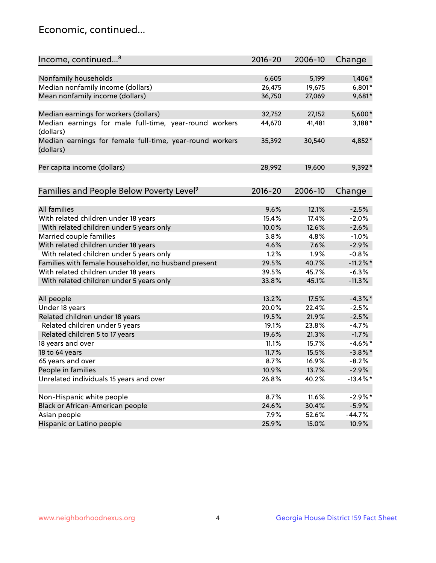## Economic, continued...

| Income, continued <sup>8</sup>                                        | $2016 - 20$ | 2006-10 | Change      |
|-----------------------------------------------------------------------|-------------|---------|-------------|
|                                                                       |             |         |             |
| Nonfamily households                                                  | 6,605       | 5,199   | 1,406*      |
| Median nonfamily income (dollars)                                     | 26,475      | 19,675  | $6,801*$    |
| Mean nonfamily income (dollars)                                       | 36,750      | 27,069  | 9,681*      |
| Median earnings for workers (dollars)                                 | 32,752      | 27,152  | 5,600*      |
| Median earnings for male full-time, year-round workers<br>(dollars)   | 44,670      | 41,481  | $3,188*$    |
| Median earnings for female full-time, year-round workers<br>(dollars) | 35,392      | 30,540  | 4,852*      |
| Per capita income (dollars)                                           | 28,992      | 19,600  | 9,392*      |
| Families and People Below Poverty Level <sup>9</sup>                  | $2016 - 20$ | 2006-10 |             |
|                                                                       |             |         | Change      |
| <b>All families</b>                                                   | 9.6%        | 12.1%   | $-2.5%$     |
| With related children under 18 years                                  | 15.4%       | 17.4%   | $-2.0%$     |
| With related children under 5 years only                              | 10.0%       | 12.6%   | $-2.6%$     |
| Married couple families                                               | 3.8%        | 4.8%    | $-1.0%$     |
| With related children under 18 years                                  | 4.6%        | 7.6%    | $-2.9%$     |
| With related children under 5 years only                              | 1.2%        | 1.9%    | $-0.8%$     |
| Families with female householder, no husband present                  | 29.5%       | 40.7%   | $-11.2\%$ * |
| With related children under 18 years                                  | 39.5%       | 45.7%   | $-6.3%$     |
| With related children under 5 years only                              | 33.8%       | 45.1%   | $-11.3%$    |
| All people                                                            | 13.2%       | 17.5%   | $-4.3\%$ *  |
| Under 18 years                                                        | 20.0%       | 22.4%   | $-2.5%$     |
| Related children under 18 years                                       | 19.5%       | 21.9%   | $-2.5%$     |
| Related children under 5 years                                        | 19.1%       | 23.8%   | $-4.7%$     |
| Related children 5 to 17 years                                        | 19.6%       | 21.3%   | $-1.7%$     |
| 18 years and over                                                     | 11.1%       | 15.7%   | $-4.6\%$ *  |
| 18 to 64 years                                                        | 11.7%       | 15.5%   | $-3.8\%$ *  |
| 65 years and over                                                     | 8.7%        | 16.9%   | $-8.2%$     |
| People in families                                                    | 10.9%       | 13.7%   | $-2.9%$     |
| Unrelated individuals 15 years and over                               | 26.8%       | 40.2%   | $-13.4\%$ * |
|                                                                       |             |         |             |
| Non-Hispanic white people                                             | 8.7%        | 11.6%   | $-2.9%$ *   |
| Black or African-American people                                      | 24.6%       | 30.4%   | $-5.9%$     |
| Asian people                                                          | 7.9%        | 52.6%   | $-44.7%$    |
| Hispanic or Latino people                                             | 25.9%       | 15.0%   | 10.9%       |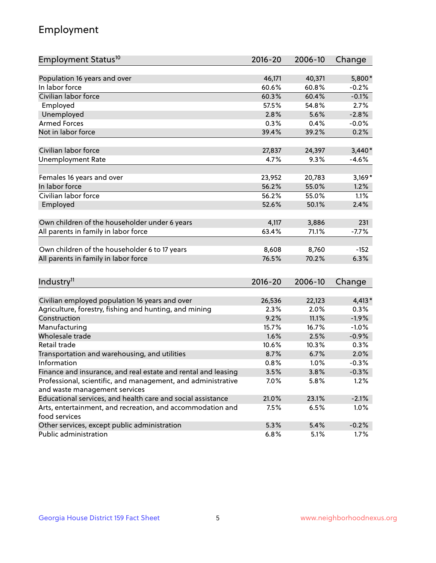## Employment

| Employment Status <sup>10</sup>                                                               | $2016 - 20$ | 2006-10 | Change   |
|-----------------------------------------------------------------------------------------------|-------------|---------|----------|
|                                                                                               |             |         |          |
| Population 16 years and over                                                                  | 46,171      | 40,371  | 5,800*   |
| In labor force                                                                                | 60.6%       | 60.8%   | $-0.2%$  |
| Civilian labor force                                                                          | 60.3%       | 60.4%   | $-0.1%$  |
| Employed                                                                                      | 57.5%       | 54.8%   | 2.7%     |
| Unemployed                                                                                    | 2.8%        | 5.6%    | $-2.8%$  |
| <b>Armed Forces</b>                                                                           | 0.3%        | 0.4%    | $-0.0%$  |
| Not in labor force                                                                            | 39.4%       | 39.2%   | 0.2%     |
| Civilian labor force                                                                          | 27,837      |         |          |
|                                                                                               |             | 24,397  | $3,440*$ |
| <b>Unemployment Rate</b>                                                                      | 4.7%        | 9.3%    | $-4.6%$  |
| Females 16 years and over                                                                     | 23,952      | 20,783  | $3,169*$ |
| In labor force                                                                                | 56.2%       | 55.0%   | 1.2%     |
| Civilian labor force                                                                          | 56.2%       | 55.0%   | 1.1%     |
| Employed                                                                                      | 52.6%       | 50.1%   | 2.4%     |
|                                                                                               |             |         |          |
| Own children of the householder under 6 years                                                 | 4,117       | 3,886   | 231      |
| All parents in family in labor force                                                          | 63.4%       | 71.1%   | $-7.7%$  |
| Own children of the householder 6 to 17 years                                                 | 8,608       | 8,760   | $-152$   |
| All parents in family in labor force                                                          | 76.5%       | 70.2%   | 6.3%     |
|                                                                                               |             |         |          |
| Industry <sup>11</sup>                                                                        | $2016 - 20$ | 2006-10 | Change   |
|                                                                                               |             |         |          |
| Civilian employed population 16 years and over                                                | 26,536      | 22,123  | $4,413*$ |
| Agriculture, forestry, fishing and hunting, and mining                                        | 2.3%        | 2.0%    | 0.3%     |
| Construction                                                                                  | 9.2%        | 11.1%   | $-1.9%$  |
| Manufacturing                                                                                 | 15.7%       | 16.7%   | $-1.0%$  |
| Wholesale trade                                                                               | 1.6%        | 2.5%    | $-0.9%$  |
| Retail trade                                                                                  | 10.6%       | 10.3%   | 0.3%     |
| Transportation and warehousing, and utilities                                                 | 8.7%        | 6.7%    | 2.0%     |
| Information                                                                                   | 0.8%        | 1.0%    | $-0.3%$  |
| Finance and insurance, and real estate and rental and leasing                                 | 3.5%        | 3.8%    | $-0.3%$  |
| Professional, scientific, and management, and administrative<br>and waste management services | 7.0%        | 5.8%    | 1.2%     |
| Educational services, and health care and social assistance                                   | 21.0%       | 23.1%   | $-2.1%$  |
|                                                                                               |             |         |          |
| Arts, entertainment, and recreation, and accommodation and<br>food services                   | 7.5%        | 6.5%    | 1.0%     |
| Other services, except public administration                                                  | 5.3%        | 5.4%    | $-0.2%$  |
| Public administration                                                                         | 6.8%        | 5.1%    | 1.7%     |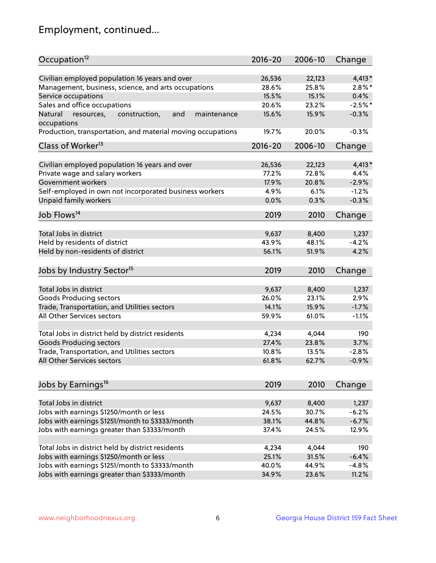## Employment, continued...

| Occupation <sup>12</sup>                                                    | $2016 - 20$ | 2006-10 | Change    |
|-----------------------------------------------------------------------------|-------------|---------|-----------|
| Civilian employed population 16 years and over                              | 26,536      | 22,123  | $4,413*$  |
| Management, business, science, and arts occupations                         | 28.6%       | 25.8%   | $2.8\%$ * |
| Service occupations                                                         | 15.5%       | 15.1%   | 0.4%      |
| Sales and office occupations                                                | 20.6%       | 23.2%   | $-2.5%$ * |
|                                                                             |             |         |           |
| and<br>Natural<br>resources,<br>construction,<br>maintenance<br>occupations | 15.6%       | 15.9%   | $-0.3%$   |
| Production, transportation, and material moving occupations                 | 19.7%       | 20.0%   | $-0.3%$   |
| Class of Worker <sup>13</sup>                                               | $2016 - 20$ | 2006-10 | Change    |
|                                                                             |             |         |           |
| Civilian employed population 16 years and over                              | 26,536      | 22,123  | $4,413*$  |
| Private wage and salary workers                                             | 77.2%       | 72.8%   | 4.4%      |
| Government workers                                                          | 17.9%       | 20.8%   | $-2.9%$   |
| Self-employed in own not incorporated business workers                      | 4.9%        | 6.1%    | $-1.2%$   |
| Unpaid family workers                                                       | 0.0%        | 0.3%    | $-0.3%$   |
| Job Flows <sup>14</sup>                                                     | 2019        | 2010    | Change    |
|                                                                             |             |         |           |
| Total Jobs in district                                                      | 9,637       | 8,400   | 1,237     |
| Held by residents of district                                               | 43.9%       | 48.1%   | $-4.2%$   |
| Held by non-residents of district                                           | 56.1%       | 51.9%   | 4.2%      |
| Jobs by Industry Sector <sup>15</sup>                                       | 2019        | 2010    | Change    |
|                                                                             |             |         |           |
| Total Jobs in district                                                      | 9,637       | 8,400   | 1,237     |
| Goods Producing sectors                                                     | 26.0%       | 23.1%   | 2.9%      |
| Trade, Transportation, and Utilities sectors                                | 14.1%       | 15.9%   | $-1.7%$   |
| All Other Services sectors                                                  | 59.9%       | 61.0%   | $-1.1%$   |
|                                                                             |             |         |           |
| Total Jobs in district held by district residents                           | 4,234       | 4,044   | 190       |
| <b>Goods Producing sectors</b>                                              | 27.4%       | 23.8%   | 3.7%      |
| Trade, Transportation, and Utilities sectors                                | 10.8%       | 13.5%   | $-2.8%$   |
| All Other Services sectors                                                  | 61.8%       | 62.7%   | $-0.9%$   |
|                                                                             |             |         |           |
| Jobs by Earnings <sup>16</sup>                                              | 2019        | 2010    | Change    |
| Total Jobs in district                                                      | 9,637       | 8,400   | 1,237     |
|                                                                             | 24.5%       | 30.7%   | $-6.2%$   |
| Jobs with earnings \$1250/month or less                                     |             |         |           |
| Jobs with earnings \$1251/month to \$3333/month                             | 38.1%       | 44.8%   | $-6.7%$   |
| Jobs with earnings greater than \$3333/month                                | 37.4%       | 24.5%   | 12.9%     |
| Total Jobs in district held by district residents                           | 4,234       | 4,044   | 190       |
| Jobs with earnings \$1250/month or less                                     | 25.1%       | 31.5%   | $-6.4%$   |
| Jobs with earnings \$1251/month to \$3333/month                             | 40.0%       | 44.9%   | $-4.8%$   |
| Jobs with earnings greater than \$3333/month                                | 34.9%       | 23.6%   | 11.2%     |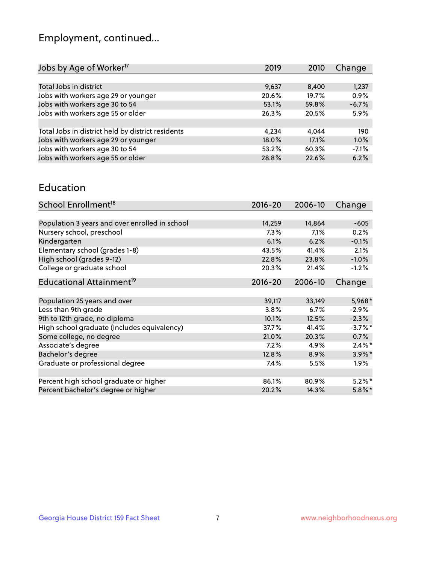## Employment, continued...

| 2019  | 2010  | Change  |
|-------|-------|---------|
|       |       |         |
| 9,637 | 8,400 | 1,237   |
| 20.6% | 19.7% | 0.9%    |
| 53.1% | 59.8% | $-6.7%$ |
| 26.3% | 20.5% | 5.9%    |
|       |       |         |
| 4.234 | 4.044 | 190     |
| 18.0% | 17.1% | 1.0%    |
| 53.2% | 60.3% | $-7.1%$ |
| 28.8% | 22.6% | 6.2%    |
|       |       |         |

#### Education

| School Enrollment <sup>18</sup>                | $2016 - 20$ | 2006-10 | Change     |
|------------------------------------------------|-------------|---------|------------|
|                                                |             |         |            |
| Population 3 years and over enrolled in school | 14,259      | 14,864  | $-605$     |
| Nursery school, preschool                      | $7.3\%$     | 7.1%    | 0.2%       |
| Kindergarten                                   | 6.1%        | 6.2%    | $-0.1%$    |
| Elementary school (grades 1-8)                 | 43.5%       | 41.4%   | 2.1%       |
| High school (grades 9-12)                      | 22.8%       | 23.8%   | $-1.0%$    |
| College or graduate school                     | 20.3%       | 21.4%   | $-1.2%$    |
| Educational Attainment <sup>19</sup>           | $2016 - 20$ | 2006-10 | Change     |
|                                                |             |         |            |
| Population 25 years and over                   | 39,117      | 33,149  | $5,968*$   |
| Less than 9th grade                            | 3.8%        | 6.7%    | $-2.9\%$   |
| 9th to 12th grade, no diploma                  | 10.1%       | 12.5%   | $-2.3%$    |
| High school graduate (includes equivalency)    | 37.7%       | 41.4%   | $-3.7\%$ * |
| Some college, no degree                        | 21.0%       | 20.3%   | 0.7%       |
| Associate's degree                             | 7.2%        | 4.9%    | $2.4\%$ *  |
| Bachelor's degree                              | 12.8%       | 8.9%    | 3.9%*      |
| Graduate or professional degree                | 7.4%        | 5.5%    | $1.9\%$    |
|                                                |             |         |            |
| Percent high school graduate or higher         | 86.1%       | 80.9%   | $5.2\%$ *  |
| Percent bachelor's degree or higher            | 20.2%       | 14.3%   | $5.8\%$ *  |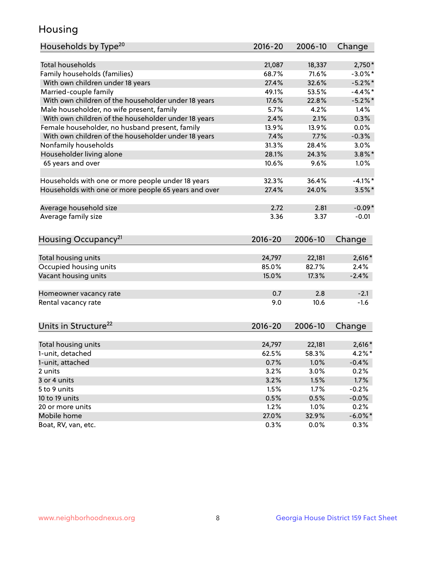## Housing

| Households by Type <sup>20</sup>                     | 2016-20 | 2006-10         | Change           |
|------------------------------------------------------|---------|-----------------|------------------|
|                                                      |         |                 |                  |
| <b>Total households</b>                              | 21,087  | 18,337          | $2,750*$         |
| Family households (families)                         | 68.7%   | 71.6%           | $-3.0\%$ *       |
| With own children under 18 years                     | 27.4%   | 32.6%           | $-5.2\%$ *       |
| Married-couple family                                | 49.1%   | 53.5%           | $-4.4\%$ *       |
| With own children of the householder under 18 years  | 17.6%   | 22.8%           | $-5.2%$          |
| Male householder, no wife present, family            | 5.7%    | 4.2%            | 1.4%             |
| With own children of the householder under 18 years  | 2.4%    | 2.1%            | 0.3%             |
| Female householder, no husband present, family       | 13.9%   | 13.9%           | 0.0%             |
| With own children of the householder under 18 years  | 7.4%    | 7.7%            | $-0.3%$          |
| Nonfamily households                                 | 31.3%   | 28.4%           | 3.0%             |
| Householder living alone                             | 28.1%   | 24.3%           | $3.8\%$ *        |
| 65 years and over                                    | 10.6%   | 9.6%            | 1.0%             |
|                                                      |         |                 |                  |
| Households with one or more people under 18 years    | 32.3%   | 36.4%           | $-4.1%$ *        |
| Households with one or more people 65 years and over | 27.4%   | 24.0%           | $3.5\%$ *        |
|                                                      |         |                 |                  |
| Average household size                               | 2.72    | 2.81            | $-0.09*$         |
| Average family size                                  | 3.36    | 3.37            | $-0.01$          |
|                                                      |         |                 |                  |
| Housing Occupancy <sup>21</sup>                      | 2016-20 | 2006-10         | Change           |
|                                                      |         |                 |                  |
| Total housing units                                  | 24,797  | 22,181<br>82.7% | $2,616*$<br>2.4% |
| Occupied housing units                               | 85.0%   |                 |                  |
| Vacant housing units                                 | 15.0%   | 17.3%           | $-2.4%$          |
| Homeowner vacancy rate                               | 0.7     | 2.8             | $-2.1$           |
| Rental vacancy rate                                  | 9.0     | 10.6            | $-1.6$           |
|                                                      |         |                 |                  |
| Units in Structure <sup>22</sup>                     | 2016-20 | 2006-10         | Change           |
|                                                      |         |                 |                  |
| Total housing units                                  | 24,797  | 22,181          | $2,616*$         |
| 1-unit, detached                                     | 62.5%   | 58.3%           | $4.2\%$ *        |
| 1-unit, attached                                     | 0.7%    | 1.0%            | $-0.4%$          |
| 2 units                                              | 3.2%    | 3.0%            | 0.2%             |
| 3 or 4 units                                         | 3.2%    | 1.5%            | 1.7%             |
| 5 to 9 units                                         | 1.5%    | 1.7%            | $-0.2%$          |
| 10 to 19 units                                       | 0.5%    | 0.5%            | $-0.0%$          |
| 20 or more units                                     | 1.2%    | 1.0%            | 0.2%             |
| Mobile home                                          | 27.0%   | 32.9%           | $-6.0\%$ *       |
| Boat, RV, van, etc.                                  | 0.3%    | $0.0\%$         | 0.3%             |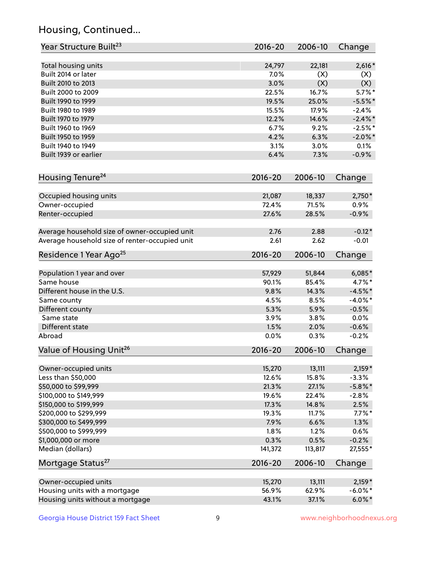## Housing, Continued...

| Year Structure Built <sup>23</sup>             | 2016-20     | 2006-10 | Change     |
|------------------------------------------------|-------------|---------|------------|
| Total housing units                            | 24,797      | 22,181  | $2,616*$   |
| Built 2014 or later                            | 7.0%        | (X)     | (X)        |
| Built 2010 to 2013                             | 3.0%        | (X)     | (X)        |
| Built 2000 to 2009                             | 22.5%       | 16.7%   | $5.7\%$ *  |
| Built 1990 to 1999                             | 19.5%       | 25.0%   | $-5.5%$ *  |
| Built 1980 to 1989                             | 15.5%       | 17.9%   | $-2.4%$    |
| Built 1970 to 1979                             | 12.2%       | 14.6%   | $-2.4\%$ * |
| Built 1960 to 1969                             | 6.7%        | 9.2%    | $-2.5%$ *  |
| Built 1950 to 1959                             | 4.2%        | 6.3%    | $-2.0\%$ * |
| Built 1940 to 1949                             | 3.1%        | 3.0%    | 0.1%       |
| Built 1939 or earlier                          | 6.4%        | 7.3%    | $-0.9%$    |
|                                                |             |         |            |
| Housing Tenure <sup>24</sup>                   | $2016 - 20$ | 2006-10 | Change     |
| Occupied housing units                         | 21,087      | 18,337  | $2,750*$   |
| Owner-occupied                                 | 72.4%       | 71.5%   | 0.9%       |
| Renter-occupied                                | 27.6%       | 28.5%   | $-0.9%$    |
| Average household size of owner-occupied unit  | 2.76        | 2.88    | $-0.12*$   |
| Average household size of renter-occupied unit | 2.61        | 2.62    | $-0.01$    |
| Residence 1 Year Ago <sup>25</sup>             | $2016 - 20$ | 2006-10 | Change     |
| Population 1 year and over                     | 57,929      | 51,844  | $6,085*$   |
| Same house                                     | 90.1%       | 85.4%   | $4.7\%$ *  |
| Different house in the U.S.                    | 9.8%        | 14.3%   | $-4.5%$ *  |
| Same county                                    | 4.5%        | 8.5%    | $-4.0\%$ * |
| Different county                               | 5.3%        | 5.9%    | $-0.5%$    |
| Same state                                     | 3.9%        | 3.8%    | 0.0%       |
| Different state                                | 1.5%        | 2.0%    | $-0.6%$    |
| Abroad                                         | 0.0%        | 0.3%    | $-0.2%$    |
| Value of Housing Unit <sup>26</sup>            | $2016 - 20$ | 2006-10 | Change     |
|                                                |             |         |            |
| Owner-occupied units                           | 15,270      | 13,111  | $2,159*$   |
| Less than \$50,000                             | 12.6%       | 15.8%   | $-3.3%$    |
| \$50,000 to \$99,999                           | 21.3%       | 27.1%   | $-5.8\%$ * |
| \$100,000 to \$149,999                         | 19.6%       | 22.4%   | $-2.8%$    |
| \$150,000 to \$199,999                         | 17.3%       | 14.8%   | 2.5%       |
| \$200,000 to \$299,999                         | 19.3%       | 11.7%   | $7.7\%$ *  |
| \$300,000 to \$499,999                         | 7.9%        | 6.6%    | 1.3%       |
| \$500,000 to \$999,999                         | 1.8%        | 1.2%    | 0.6%       |
| \$1,000,000 or more                            | 0.3%        | 0.5%    | $-0.2%$    |
| Median (dollars)                               | 141,372     | 113,817 | 27,555*    |
| Mortgage Status <sup>27</sup>                  | $2016 - 20$ | 2006-10 | Change     |
| Owner-occupied units                           | 15,270      | 13,111  | $2,159*$   |
| Housing units with a mortgage                  | 56.9%       | 62.9%   | $-6.0\%$ * |
| Housing units without a mortgage               | 43.1%       | 37.1%   | $6.0\%$ *  |
|                                                |             |         |            |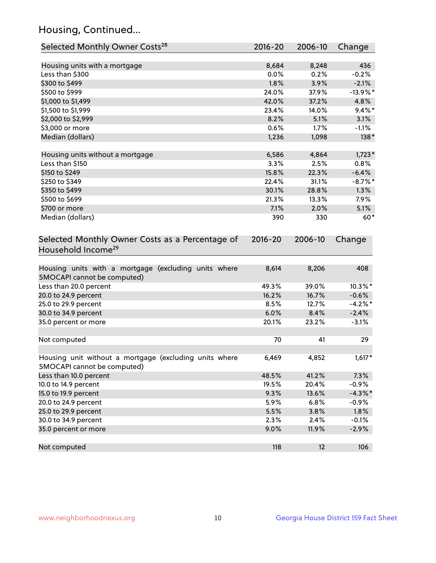## Housing, Continued...

| Selected Monthly Owner Costs <sup>28</sup>                                            | 2016-20     | 2006-10 | Change      |
|---------------------------------------------------------------------------------------|-------------|---------|-------------|
| Housing units with a mortgage                                                         | 8,684       | 8,248   | 436         |
| Less than \$300                                                                       | 0.0%        | 0.2%    | $-0.2%$     |
| \$300 to \$499                                                                        | 1.8%        | 3.9%    | $-2.1%$     |
| \$500 to \$999                                                                        | 24.0%       | 37.9%   | $-13.9\%$ * |
| \$1,000 to \$1,499                                                                    | 42.0%       | 37.2%   | 4.8%        |
| \$1,500 to \$1,999                                                                    | 23.4%       | 14.0%   | $9.4\%$ *   |
| \$2,000 to \$2,999                                                                    | 8.2%        | 5.1%    | 3.1%        |
| \$3,000 or more                                                                       | 0.6%        | 1.7%    | $-1.1%$     |
| Median (dollars)                                                                      | 1,236       | 1,098   | $138*$      |
|                                                                                       |             |         |             |
| Housing units without a mortgage                                                      | 6,586       | 4,864   | $1,723*$    |
| Less than \$150                                                                       | 3.3%        | 2.5%    | 0.8%        |
| \$150 to \$249                                                                        | 15.8%       | 22.3%   | $-6.4%$     |
| \$250 to \$349                                                                        | 22.4%       | 31.1%   | $-8.7\%$ *  |
| \$350 to \$499                                                                        | 30.1%       | 28.8%   | 1.3%        |
| \$500 to \$699                                                                        | 21.3%       | 13.3%   | 7.9%        |
| \$700 or more                                                                         | 7.1%        | 2.0%    | 5.1%        |
| Median (dollars)                                                                      | 390         | 330     | $60*$       |
| Selected Monthly Owner Costs as a Percentage of<br>Household Income <sup>29</sup>     | $2016 - 20$ | 2006-10 | Change      |
| Housing units with a mortgage (excluding units where<br>SMOCAPI cannot be computed)   | 8,614       | 8,206   | 408         |
| Less than 20.0 percent                                                                | 49.3%       | 39.0%   | 10.3%*      |
| 20.0 to 24.9 percent                                                                  | 16.2%       | 16.7%   | $-0.6%$     |
| 25.0 to 29.9 percent                                                                  | 8.5%        | 12.7%   | $-4.2\%$ *  |
| 30.0 to 34.9 percent                                                                  | 6.0%        | 8.4%    | $-2.4%$     |
| 35.0 percent or more                                                                  | 20.1%       | 23.2%   | $-3.1%$     |
| Not computed                                                                          | 70          | 41      | 29          |
| Housing unit without a mortgage (excluding units where<br>SMOCAPI cannot be computed) | 6,469       | 4,852   | $1,617*$    |
| Less than 10.0 percent                                                                | 48.5%       | 41.2%   | 7.3%        |
| 10.0 to 14.9 percent                                                                  | 19.5%       | 20.4%   | $-0.9%$     |
| 15.0 to 19.9 percent                                                                  | 9.3%        | 13.6%   | $-4.3\%$ *  |
| 20.0 to 24.9 percent                                                                  | 5.9%        | 6.8%    | $-0.9%$     |
| 25.0 to 29.9 percent                                                                  | 5.5%        | 3.8%    | 1.8%        |
| 30.0 to 34.9 percent                                                                  | 2.3%        | 2.4%    | $-0.1%$     |
| 35.0 percent or more                                                                  | 9.0%        | 11.9%   | $-2.9%$     |
| Not computed                                                                          | 118         | 12      | 106         |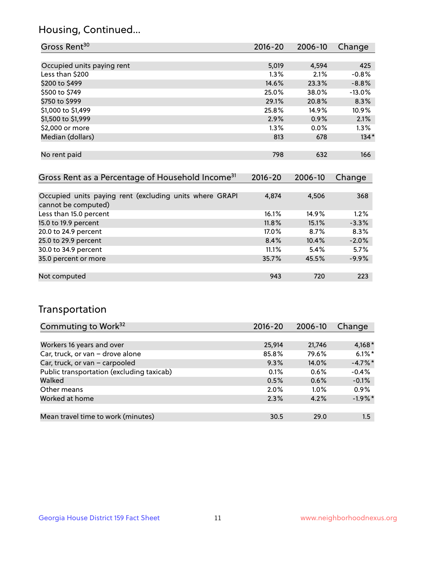## Housing, Continued...

| Gross Rent <sup>30</sup>                                     | 2016-20     | 2006-10 | Change   |
|--------------------------------------------------------------|-------------|---------|----------|
|                                                              |             |         |          |
| Occupied units paying rent                                   | 5,019       | 4,594   | 425      |
| Less than \$200                                              | $1.3\%$     | 2.1%    | $-0.8%$  |
| \$200 to \$499                                               | 14.6%       | 23.3%   | $-8.8%$  |
| \$500 to \$749                                               | 25.0%       | 38.0%   | $-13.0%$ |
| \$750 to \$999                                               | 29.1%       | 20.8%   | 8.3%     |
| \$1,000 to \$1,499                                           | 25.8%       | 14.9%   | 10.9%    |
| \$1,500 to \$1,999                                           | 2.9%        | 0.9%    | 2.1%     |
| \$2,000 or more                                              | $1.3\%$     | $0.0\%$ | 1.3%     |
| Median (dollars)                                             | 813         | 678     | $134*$   |
|                                                              |             |         |          |
| No rent paid                                                 | 798         | 632     | 166      |
|                                                              |             |         |          |
| Gross Rent as a Percentage of Household Income <sup>31</sup> | $2016 - 20$ | 2006-10 | Change   |
|                                                              |             |         |          |
| $\sim$ $\sim$ $\sim$ $\sim$ $\sim$ $\sim$                    |             |         |          |

| Occupied units paying rent (excluding units where GRAPI | 4.874    | 4.506 | 368     |
|---------------------------------------------------------|----------|-------|---------|
| cannot be computed)                                     |          |       |         |
| Less than 15.0 percent                                  | 16.1%    | 14.9% | 1.2%    |
| 15.0 to 19.9 percent                                    | $11.8\%$ | 15.1% | $-3.3%$ |
| 20.0 to 24.9 percent                                    | 17.0%    | 8.7%  | 8.3%    |
| 25.0 to 29.9 percent                                    | 8.4%     | 10.4% | $-2.0%$ |
| 30.0 to 34.9 percent                                    | 11.1%    | 5.4%  | 5.7%    |
| 35.0 percent or more                                    | 35.7%    | 45.5% | $-9.9%$ |
|                                                         |          |       |         |
| Not computed                                            | 943      | 720   | 223     |

## Transportation

| Commuting to Work <sup>32</sup>           | 2016-20 | 2006-10  | Change     |
|-------------------------------------------|---------|----------|------------|
|                                           |         |          |            |
| Workers 16 years and over                 | 25,914  | 21,746   | $4,168*$   |
| Car, truck, or van - drove alone          | 85.8%   | 79.6%    | $6.1\%$ *  |
| Car, truck, or van - carpooled            | 9.3%    | $14.0\%$ | $-4.7\%$ * |
| Public transportation (excluding taxicab) | 0.1%    | 0.6%     | $-0.4%$    |
| Walked                                    | 0.5%    | 0.6%     | $-0.1%$    |
| Other means                               | 2.0%    | $1.0\%$  | 0.9%       |
| Worked at home                            | 2.3%    | 4.2%     | $-1.9%$ *  |
|                                           |         |          |            |
| Mean travel time to work (minutes)        | 30.5    | 29.0     | 1.5        |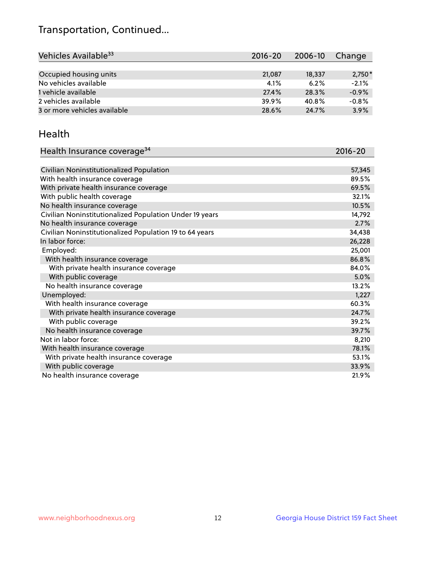## Transportation, Continued...

| Vehicles Available <sup>33</sup> | $2016 - 20$ | 2006-10 | Change   |
|----------------------------------|-------------|---------|----------|
|                                  |             |         |          |
| Occupied housing units           | 21,087      | 18,337  | $2,750*$ |
| No vehicles available            | 4.1%        | 6.2%    | $-2.1%$  |
| 1 vehicle available              | 27.4%       | 28.3%   | $-0.9%$  |
| 2 vehicles available             | 39.9%       | 40.8%   | $-0.8%$  |
| 3 or more vehicles available     | 28.6%       | 24.7%   | 3.9%     |

#### Health

| Health Insurance coverage <sup>34</sup>                 | 2016-20 |
|---------------------------------------------------------|---------|
|                                                         |         |
| Civilian Noninstitutionalized Population                | 57,345  |
| With health insurance coverage                          | 89.5%   |
| With private health insurance coverage                  | 69.5%   |
| With public health coverage                             | 32.1%   |
| No health insurance coverage                            | 10.5%   |
| Civilian Noninstitutionalized Population Under 19 years | 14,792  |
| No health insurance coverage                            | 2.7%    |
| Civilian Noninstitutionalized Population 19 to 64 years | 34,438  |
| In labor force:                                         | 26,228  |
| Employed:                                               | 25,001  |
| With health insurance coverage                          | 86.8%   |
| With private health insurance coverage                  | 84.0%   |
| With public coverage                                    | 5.0%    |
| No health insurance coverage                            | 13.2%   |
| Unemployed:                                             | 1,227   |
| With health insurance coverage                          | 60.3%   |
| With private health insurance coverage                  | 24.7%   |
| With public coverage                                    | 39.2%   |
| No health insurance coverage                            | 39.7%   |
| Not in labor force:                                     | 8,210   |
| With health insurance coverage                          | 78.1%   |
| With private health insurance coverage                  | 53.1%   |
| With public coverage                                    | 33.9%   |
| No health insurance coverage                            | 21.9%   |